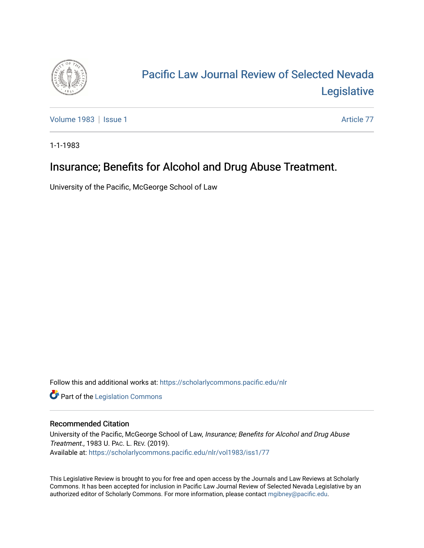

# [Pacific Law Journal Review of Selected Nevada](https://scholarlycommons.pacific.edu/nlr)  [Legislative](https://scholarlycommons.pacific.edu/nlr)

[Volume 1983](https://scholarlycommons.pacific.edu/nlr/vol1983) | [Issue 1](https://scholarlycommons.pacific.edu/nlr/vol1983/iss1) Article 77

1-1-1983

## Insurance; Benefits for Alcohol and Drug Abuse Treatment.

University of the Pacific, McGeorge School of Law

Follow this and additional works at: [https://scholarlycommons.pacific.edu/nlr](https://scholarlycommons.pacific.edu/nlr?utm_source=scholarlycommons.pacific.edu%2Fnlr%2Fvol1983%2Fiss1%2F77&utm_medium=PDF&utm_campaign=PDFCoverPages) 

**Part of the [Legislation Commons](http://network.bepress.com/hgg/discipline/859?utm_source=scholarlycommons.pacific.edu%2Fnlr%2Fvol1983%2Fiss1%2F77&utm_medium=PDF&utm_campaign=PDFCoverPages)** 

### Recommended Citation

University of the Pacific, McGeorge School of Law, Insurance; Benefits for Alcohol and Drug Abuse Treatment., 1983 U. PAC. L. REV. (2019). Available at: [https://scholarlycommons.pacific.edu/nlr/vol1983/iss1/77](https://scholarlycommons.pacific.edu/nlr/vol1983/iss1/77?utm_source=scholarlycommons.pacific.edu%2Fnlr%2Fvol1983%2Fiss1%2F77&utm_medium=PDF&utm_campaign=PDFCoverPages)

This Legislative Review is brought to you for free and open access by the Journals and Law Reviews at Scholarly Commons. It has been accepted for inclusion in Pacific Law Journal Review of Selected Nevada Legislative by an authorized editor of Scholarly Commons. For more information, please contact [mgibney@pacific.edu](mailto:mgibney@pacific.edu).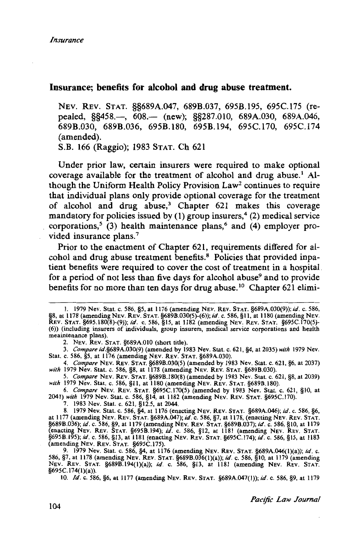#### **Insurance; benefits for alcohol and drug abuse treatment.**

NEV. REV. STAT. §§689A.047, 689B.037, 695B.l95, 695C.l75 (repealed, §§458.—, 608.— (new); §§287.010, 689A.030, 689A.046, 689B.030, 689B.036, 695B.l80, 695B.l94, 695C.l70, 695C.l74 (amended).

S.B. 166 (Raggio); 1983 STAT. Ch 621

Under prior law, certain insurers were required to make optional coverage available for the treatment of alcohol and drug abuse.<sup>1</sup> Although the Uniform Health Policy Provision Law2 continues to require that individual plans only provide optional coverage for the treatment of alcohol and drug abuse,<sup>3</sup> Chapter 621 makes this coverage mandatory for policies issued by (1) group insurers,<sup>4</sup> (2) medical service corporations,<sup>5</sup> (3) health maintenance plans,<sup>6</sup> and (4) employer provided insurance plans.<sup>7</sup>

Prior to the enactment of Chapter 621, requirements differed for alcohol and drug abuse treatment benefits.8 Policies that provided inpatient benefits were required to cover the cost of treatment in a hospital for a period of not less than five days for alcohol abuse<sup>9</sup> and to provide benefits for no more than ten days for drug abuse.<sup>10</sup> Chapter 621 elimi-

2. NEV. REV. STAT. §689A.010 (short title).

3. *Compare* id.§689A.030(9) (amended by 1983 Nev. Stat. c. 621, §4, at 2035) *with* 1979 Nev. Stat. c. 586, §5, at 1176 (amending NEV. REV. STAT. §689A.030).

4. *Compare* NEv. REv. STAT. §6898.030(5) (amended by 1983 Nev. Stat. c. 621, §6, at 2037) *with* 1979 Nev. Stat. c. 586, §8, at 1178 (amending NEv. REv. STAT. §6898.030).

*5. Compare* NEv. REv. STAT. §6898.180(8) (amended by 1983 Nev. Stat. c. 621, §8, at 2039) *with* 1979 Nev. Stat. c. 586, §11, at 1180 (amending NEV. REV. STAT. §6898.180).

6. *Compare* NEv. REv. STAT. §695C.I70(5) (amended by 1983 Nev. Stat. c. 621, §10, at 2041) *with* 1979 Nev. Stat. c. 586, §14, at 1182 (amending NEV. REV. STAT. §695C.I70).

7. 1983 Nev. Stat. c. 621, §12.5, at 2044.

8. 1979 Nev. Stat. c. 586, §4, at 1176 (enacting NEV. REV. STAT. §689A.046); *id.* c. 586, §6, at 1177 (amending NEV. REV. STAT. §689A.047); *id.* c. 586, §7, at 1178, (enacting NEV. REV. STAT. §6898.036); *id.* c. 586, §9, at 1179 (amending NEv. REv. STAT. §6898.037); *id.* c. 586, §10, at 1179 (enacting NEV. REV. STAT. §6958.194); *id.* c. 586, §12, at 1181 (amending NEV. REV. STAT. §6958.195); *id.* c. 586, §13, at 1181 (enacting NEv. REv. STAT. §695C.I74); *id.* c. 586, §15, at 1183 (amending NEV. REv. STAT. §695C.l75).

9. 1979 Nev. Stat. c. 586, §4, at 1176 (amending NEV. REV. STAT. §689A.046(l)(a)); *id.* c. 586, §7, at 1178 (amending NEv. REv. STAT. §6898.036(1)(a)); *id.* c. 586, §10, at 1179 (amending NEV. REV. STAT. §6898.194(1)(a)); *id.* c. 586, §13, at 1181 (amending NEV. REV. STAT. §695C.I74(l)(a)).

10. */d.* c. 586, §6, at 1177 (amending NEv. REV. STAT. §689A.047(1)); *id.* c. 586, §9, at 1179

<sup>1. 1979</sup> Nev. Stat. c. 586, §5, at 1176 (amending NEv. REv. STAT. §689A.030(9)); *id.* c. 586, §8, at 1178 (amending NEv. REV. STAT. §6898.030(5)-(6)); *id.* c. 586, §II, at 1180 (amending NEV. REv. STAT. §695.180(8)-(9)); *id.* c. 586, §15, at 1182 (amending NEV. REv. STAT. §695C.I70(5)- (6)) (including insurers of individuals, group insurers, medical service corporations and health meaintenance plans)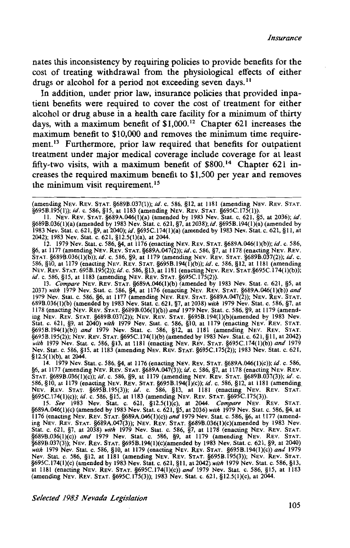*Insurance* 

nates this inconsistency by requiring policies to provide benefits for the cost of treating withdrawal from the physiological effects of either drugs or alcohol for a period not exceeding seven days.<sup>11</sup>

In addition, under prior law, insurance policies that provided inpatient benefits were required to cover the cost of treatment for either alcohol or drug abuse in a health care facility for a minimum of thirty days, with a maximum benefit of \$1,000.<sup>12</sup> Chapter 621 increases the maximum benefit to \$10,000 and removes the minimum time requirement.<sup>13</sup> Furthermore, prior law required that benefits for outpatient treatment under major medical coverage include coverage for at least fifty-two visits, with a maximum benefit of  $$800.<sup>14</sup>$  Chapter 621 increases the required maximum benefit to \$1,500 per year and removes the minimum visit requirement.<sup>15</sup>

12. 1979 Nev. Stat. c. 586, §4, at 1176 (enacting NEv. REv. STAT. §689A.046(1)(b)); *id.* c. 586, §6, at 1177 (amending NEV. REV. STAT. §689A.047(2)); *id.* c. 586, §7, at 1178 (enacting NEV. REV. STAT. §689B.036(1)(b)); *id.* c. 586, §9, at 1179 (amending NEV. REV. STAT. §689B.037(2)); *id.* c. 586, §10, at 1179 (enacting NEv. REv. STAT. §695B.l94(1)(b)); *id.* c. 586, §12, at 1181 (amending NEV. REV. STAT. 695B.I95(2)); *id.* c. 586, §13, at 1181 (enacting NEV. REV. STAT.§695C.I74(1)(b)); *id.* c. 586, §15, at 1183 (amending NEv. REV. STAT. §695C.l75(2)).

13. *Compare* NEv. REV. STAT. §689A.046(l)(b) (amended by 1983 Nev. Stat. c. 621, §5, at 2037) *with* 1979 Nev. Stat. c. 586, §4, at 1176 (enacting NEv. REv. STAT. §689A.046(1)(b)) *and*  1979 Nev. Stat. c. 586, §6, at 1177 (amending NEv. REv. STAT. §689A.047(2)); NEV. REv. STAT. 689B.036(1)(b) (amended by 1983 Nev. Stat. c. 621, §7, at 2038) *with* 1979 Nev. Stat. c. 586, §7, at 1178 (enacting NEv. REv. STAT. §689B.036(1)(b)) *and* 1979 Nev. Stat. c. 586, §9, at 1179 (amending NEV. REV. STAT. §689B.037(2)); NEV. REV. STAT. §695B.I94(l)(b)(amended by 1983 Nev. Stat. c. 621, §9, at 2040) *with* 1979 Nev. Stat. c. 586, §10, at 1179 (enacting NEV. REV. STAT. §695B.I94(1)(b)) *and* 1979 Nev. Stat. c. 586, §12, at 1181 (amending NEv. REV. STAT. §695B.l95(2)); NEV. REV. STAT. §695C.I74(1)(b) (amended by 1983 Nev. Stat. c. 621, §II, at 2042) *with* 1979 Nev. Stat. c. 586, §13, at 1181 (enacting NEv. REv. STAT. §695C.I74(l)(b)) *and* 1979 Nev. Stat. c. 586, §15, at 1183 (amending NEv. REv. STAT. §695C.l75(2)); 1983 Nev. Stat. c. 621, §12.5(l)(b), at 2044.

14. 1979 Nev. Stat. c. 586, §4, at 1176 (enacting NEV. REV. STAT. §689A.046(1)(c)); *id.* c. 586, §6, at 1177 (amending NEV. REV. STAT. §689A.047(3)); *id.* c. 586, §7, at 1178 (enacting NEV. REV. STAT. §689B.036(1)(c)); *id.* c. 586, §9, at 1179 (amending NEV. REV. STAT. §689B.037(3)); *id.* C. 586, §10, at 1179 (enacting NEv. REv. STAT. §695B.I94(1)(c)); *id.* c. 586, §12, at 1181 (amending NEV. REV. STAT. §695B.l95(3)); *id.* c. 586, §13, at 1181 (enacting NEV. REV. STAT. §695C.l74(l)(c)); *id.* c. 586, §15, at 1183 (amending NEv. REv. STAT. §695C.l75(3)).

15. *See* 1983 Nev. Stat. c. 621, §12.5(1)(c), at 2044. *Compare* NEv. REV. STAT. §689A.046(1)(c) (amended by 1983 Nev. Stat. c. 621, §5, at 2036) *with* 1979 Nev. Stat. c. 586, §4, at 1176 (enacting NEv. REv. STAT. §689A.046(1)(c)) *and* 1979 Nev. Stat. c. 586, §6, at 1177 (amending NEV. REV. STAT. §689A.047(3)); NEV. REV. STAT. §689B.036(1)(c)(amended by 1983 Nev. Stat. c. 621, §7, at 2038) *with* 1979 Nev. Stat. c. 586, §7, at 1178 (enacting NEv. REV. STAT. §689B.036(1)(c)) *and* 1979 Nev. Stat. c. 586, §9, at 1179 (amending NEV. REV. STAT. §689B.037(3)); NEV. REV. STAT. §695B.l94(1)(c)(amended by 1983 Nev. Stat. c. 621, §9, at 2040) *with* 1979 Nev. Stat. c. 586, §10, at 1179 (enacting NEv. REv. STAT. §695B.l94(1)(c)) *and* 1979 Nev. Stat. c. 586, §12, at 1181 (amending NEV. REv. STAT. §695B.I95(3)); NEV. REv. STAT. §695C.l74(1)(c) (amended by 1983 Nev. Stat. c. 621, §II, at 2042) *with* 1979 Nev. Stat. c. 586, §13, at 1181 (enacting NEv. REV. STAT. §695C.I74(1)(c)) *and* 1979 Nev. Stat. c. 586, §15, at 1183 (amending NEV. REv. STAT. §695C.l75(3)); 1983 Nev. Stat. c. 621, §12.5(1)(c), at 2044.

*Selected 1983 Nevada Legislation* 

<sup>(</sup>amending NEV. REV. STAT. §689B.037(1)); *id.* c. 586, §12, at 1181 (amending NEV. REV. STAT. §695B.l95(1)); *id.* c. 586, §15, at 1183 (amending NEV. REv. STAT. §695C.I75(1)).

II. NEV. REv. STAT. §689A.046(1)(a) (amended by 1983 Nev. Stat. c. 621, §5, at 2036); *id.*  §689B.036(1)(a) (amended by 1983 Nev. Stat. c. 621, §7, at 2038); *id.* §695B.I94(1)(a) (amended by 1983 Nev. Stat. c. 621, §9, at 2040); *id.* §695C.I74(1)(a) (amended by 1983 Nev. Stat. c. 621, §II, at 2042); 1983 Nev. Stat. c. 621, §12.5(1)(a), at 2044.